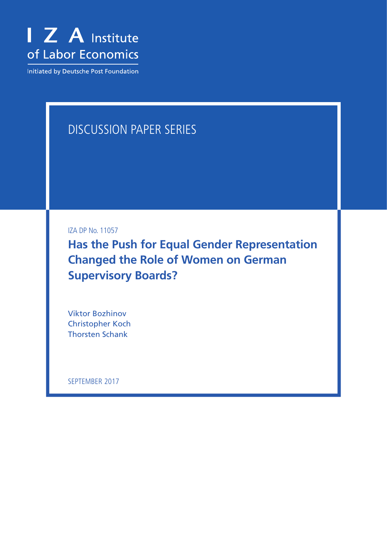

Initiated by Deutsche Post Foundation

# DISCUSSION PAPER SERIES

IZA DP No. 11057

**Has the Push for Equal Gender Representation Changed the Role of Women on German Supervisory Boards?**

Viktor Bozhinov Christopher Koch Thorsten Schank

SEPTEMBER 2017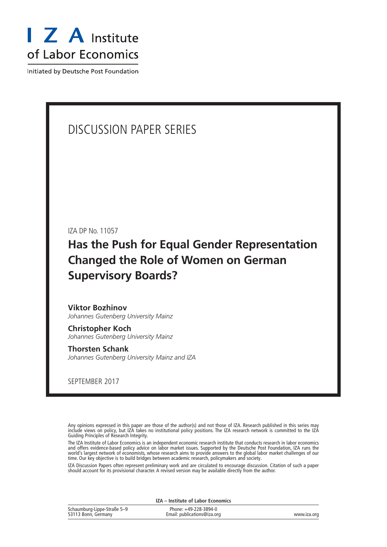

Initiated by Deutsche Post Foundation

# DISCUSSION PAPER SERIES

IZA DP No. 11057

# **Has the Push for Equal Gender Representation Changed the Role of Women on German Supervisory Boards?**

**Viktor Bozhinov** *Johannes Gutenberg University Mainz*

**Christopher Koch** *Johannes Gutenberg University Mainz*

**Thorsten Schank** *Johannes Gutenberg University Mainz and IZA*

SEPTEMBER 2017

Any opinions expressed in this paper are those of the author(s) and not those of IZA. Research published in this series may include views on policy, but IZA takes no institutional policy positions. The IZA research network is committed to the IZA Guiding Principles of Research Integrity.

The IZA Institute of Labor Economics is an independent economic research institute that conducts research in labor economics and offers evidence-based policy advice on labor market issues. Supported by the Deutsche Post Foundation, IZA runs the world's largest network of economists, whose research aims to provide answers to the global labor market challenges of our time. Our key objective is to build bridges between academic research, policymakers and society.

IZA Discussion Papers often represent preliminary work and are circulated to encourage discussion. Citation of such a paper should account for its provisional character. A revised version may be available directly from the author.

| <b>IZA</b> – Institute of Labor Economics          |                                                      |             |  |  |  |
|----------------------------------------------------|------------------------------------------------------|-------------|--|--|--|
| Schaumburg-Lippe-Straße 5-9<br>53113 Bonn, Germany | Phone: +49-228-3894-0<br>Email: publications@iza.org | www.iza.org |  |  |  |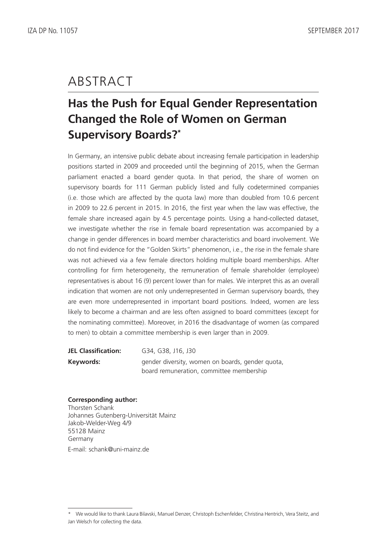# ABSTRACT

# **Has the Push for Equal Gender Representation Changed the Role of Women on German Supervisory Boards?\***

In Germany, an intensive public debate about increasing female participation in leadership positions started in 2009 and proceeded until the beginning of 2015, when the German parliament enacted a board gender quota. In that period, the share of women on supervisory boards for 111 German publicly listed and fully codetermined companies (i.e. those which are affected by the quota law) more than doubled from 10.6 percent in 2009 to 22.6 percent in 2015. In 2016, the first year when the law was effective, the female share increased again by 4.5 percentage points. Using a hand-collected dataset, we investigate whether the rise in female board representation was accompanied by a change in gender differences in board member characteristics and board involvement. We do not find evidence for the "Golden Skirts" phenomenon, i.e., the rise in the female share was not achieved via a few female directors holding multiple board memberships. After controlling for firm heterogeneity, the remuneration of female shareholder (employee) representatives is about 16 (9) percent lower than for males. We interpret this as an overall indication that women are not only underrepresented in German supervisory boards, they are even more underrepresented in important board positions. Indeed, women are less likely to become a chairman and are less often assigned to board committees (except for the nominating committee). Moreover, in 2016 the disadvantage of women (as compared to men) to obtain a committee membership is even larger than in 2009.

| <b>JEL Classification:</b> | G34, G38, J16, J30                               |
|----------------------------|--------------------------------------------------|
| Keywords:                  | gender diversity, women on boards, gender quota, |
|                            | board remuneration, committee membership         |

**Corresponding author:** Thorsten Schank Johannes Gutenberg-Universität Mainz Jakob-Welder-Weg 4/9 55128 Mainz Germany E-mail: schank@uni-mainz.de

<sup>\*</sup> We would like to thank Laura Bilavski, Manuel Denzer, Christoph Eschenfelder, Christina Hentrich, Vera Steitz, and Jan Welsch for collecting the data.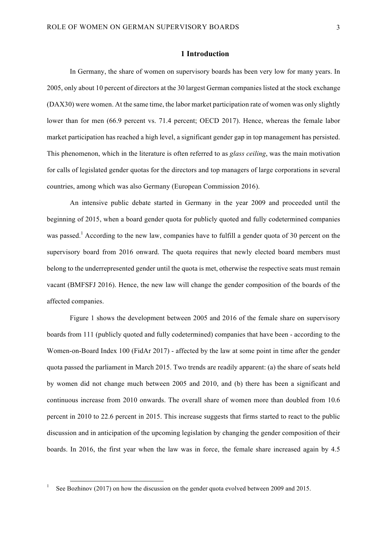### **1 Introduction**

In Germany, the share of women on supervisory boards has been very low for many years. In 2005, only about 10 percent of directors at the 30 largest German companies listed at the stock exchange (DAX30) were women. At the same time, the labor market participation rate of women was only slightly lower than for men (66.9 percent vs. 71.4 percent; OECD 2017). Hence, whereas the female labor market participation has reached a high level, a significant gender gap in top management has persisted. This phenomenon, which in the literature is often referred to as *glass ceiling*, was the main motivation for calls of legislated gender quotas for the directors and top managers of large corporations in several countries, among which was also Germany (European Commission 2016).

An intensive public debate started in Germany in the year 2009 and proceeded until the beginning of 2015, when a board gender quota for publicly quoted and fully codetermined companies was passed.<sup>1</sup> According to the new law, companies have to fulfill a gender quota of 30 percent on the supervisory board from 2016 onward. The quota requires that newly elected board members must belong to the underrepresented gender until the quota is met, otherwise the respective seats must remain vacant (BMFSFJ 2016). Hence, the new law will change the gender composition of the boards of the affected companies.

Figure 1 shows the development between 2005 and 2016 of the female share on supervisory boards from 111 (publicly quoted and fully codetermined) companies that have been - according to the Women-on-Board Index 100 (FidAr 2017) - affected by the law at some point in time after the gender quota passed the parliament in March 2015. Two trends are readily apparent: (a) the share of seats held by women did not change much between 2005 and 2010, and (b) there has been a significant and continuous increase from 2010 onwards. The overall share of women more than doubled from 10.6 percent in 2010 to 22.6 percent in 2015. This increase suggests that firms started to react to the public discussion and in anticipation of the upcoming legislation by changing the gender composition of their boards. In 2016, the first year when the law was in force, the female share increased again by 4.5

See Bozhinov (2017) on how the discussion on the gender quota evolved between 2009 and 2015.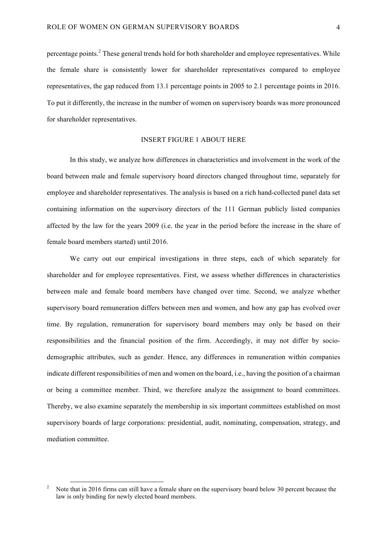percentage points.2 These general trends hold for both shareholder and employee representatives. While the female share is consistently lower for shareholder representatives compared to employee representatives, the gap reduced from 13.1 percentage points in 2005 to 2.1 percentage points in 2016. To put it differently, the increase in the number of women on supervisory boards was more pronounced for shareholder representatives.

# INSERT FIGURE 1 ABOUT HERE

In this study, we analyze how differences in characteristics and involvement in the work of the board between male and female supervisory board directors changed throughout time, separately for employee and shareholder representatives. The analysis is based on a rich hand-collected panel data set containing information on the supervisory directors of the 111 German publicly listed companies affected by the law for the years 2009 (i.e. the year in the period before the increase in the share of female board members started) until 2016.

We carry out our empirical investigations in three steps, each of which separately for shareholder and for employee representatives. First, we assess whether differences in characteristics between male and female board members have changed over time. Second, we analyze whether supervisory board remuneration differs between men and women, and how any gap has evolved over time. By regulation, remuneration for supervisory board members may only be based on their responsibilities and the financial position of the firm. Accordingly, it may not differ by sociodemographic attributes, such as gender. Hence, any differences in remuneration within companies indicate different responsibilities of men and women on the board, i.e., having the position of a chairman or being a committee member. Third, we therefore analyze the assignment to board committees. Thereby, we also examine separately the membership in six important committees established on most supervisory boards of large corporations: presidential, audit, nominating, compensation, strategy, and mediation committee.

 <sup>2</sup> Note that in 2016 firms can still have a female share on the supervisory board below 30 percent because the law is only binding for newly elected board members.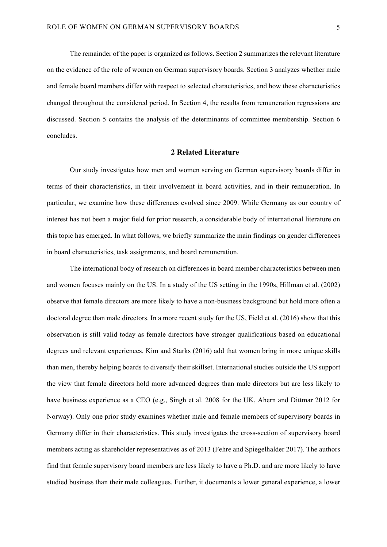The remainder of the paper is organized as follows. Section 2 summarizes the relevant literature on the evidence of the role of women on German supervisory boards. Section 3 analyzes whether male and female board members differ with respect to selected characteristics, and how these characteristics changed throughout the considered period. In Section 4, the results from remuneration regressions are discussed. Section 5 contains the analysis of the determinants of committee membership. Section 6 concludes.

### **2 Related Literature**

Our study investigates how men and women serving on German supervisory boards differ in terms of their characteristics, in their involvement in board activities, and in their remuneration. In particular, we examine how these differences evolved since 2009. While Germany as our country of interest has not been a major field for prior research, a considerable body of international literature on this topic has emerged. In what follows, we briefly summarize the main findings on gender differences in board characteristics, task assignments, and board remuneration.

The international body of research on differences in board member characteristics between men and women focuses mainly on the US. In a study of the US setting in the 1990s, Hillman et al. (2002) observe that female directors are more likely to have a non-business background but hold more often a doctoral degree than male directors. In a more recent study for the US, Field et al. (2016) show that this observation is still valid today as female directors have stronger qualifications based on educational degrees and relevant experiences. Kim and Starks (2016) add that women bring in more unique skills than men, thereby helping boards to diversify their skillset. International studies outside the US support the view that female directors hold more advanced degrees than male directors but are less likely to have business experience as a CEO (e.g., Singh et al. 2008 for the UK, Ahern and Dittmar 2012 for Norway). Only one prior study examines whether male and female members of supervisory boards in Germany differ in their characteristics. This study investigates the cross-section of supervisory board members acting as shareholder representatives as of 2013 (Fehre and Spiegelhalder 2017). The authors find that female supervisory board members are less likely to have a Ph.D. and are more likely to have studied business than their male colleagues. Further, it documents a lower general experience, a lower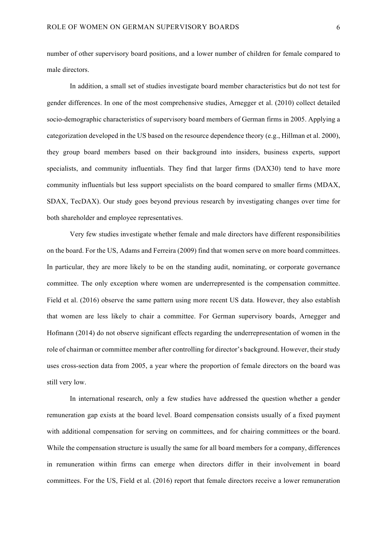number of other supervisory board positions, and a lower number of children for female compared to male directors.

In addition, a small set of studies investigate board member characteristics but do not test for gender differences. In one of the most comprehensive studies, Arnegger et al. (2010) collect detailed socio-demographic characteristics of supervisory board members of German firms in 2005. Applying a categorization developed in the US based on the resource dependence theory (e.g., Hillman et al. 2000), they group board members based on their background into insiders, business experts, support specialists, and community influentials. They find that larger firms (DAX30) tend to have more community influentials but less support specialists on the board compared to smaller firms (MDAX, SDAX, TecDAX). Our study goes beyond previous research by investigating changes over time for both shareholder and employee representatives.

Very few studies investigate whether female and male directors have different responsibilities on the board. For the US, Adams and Ferreira (2009) find that women serve on more board committees. In particular, they are more likely to be on the standing audit, nominating, or corporate governance committee. The only exception where women are underrepresented is the compensation committee. Field et al. (2016) observe the same pattern using more recent US data. However, they also establish that women are less likely to chair a committee. For German supervisory boards, Arnegger and Hofmann (2014) do not observe significant effects regarding the underrepresentation of women in the role of chairman or committee member after controlling for director's background. However, their study uses cross-section data from 2005, a year where the proportion of female directors on the board was still very low.

In international research, only a few studies have addressed the question whether a gender remuneration gap exists at the board level. Board compensation consists usually of a fixed payment with additional compensation for serving on committees, and for chairing committees or the board. While the compensation structure is usually the same for all board members for a company, differences in remuneration within firms can emerge when directors differ in their involvement in board committees. For the US, Field et al. (2016) report that female directors receive a lower remuneration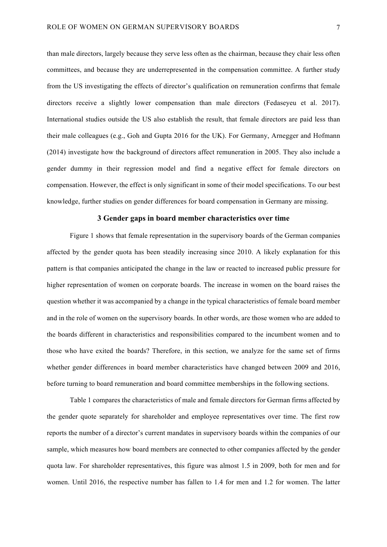than male directors, largely because they serve less often as the chairman, because they chair less often committees, and because they are underrepresented in the compensation committee. A further study from the US investigating the effects of director's qualification on remuneration confirms that female directors receive a slightly lower compensation than male directors (Fedaseyeu et al. 2017). International studies outside the US also establish the result, that female directors are paid less than their male colleagues (e.g., Goh and Gupta 2016 for the UK). For Germany, Arnegger and Hofmann (2014) investigate how the background of directors affect remuneration in 2005. They also include a gender dummy in their regression model and find a negative effect for female directors on compensation. However, the effect is only significant in some of their model specifications. To our best knowledge, further studies on gender differences for board compensation in Germany are missing.

### **3 Gender gaps in board member characteristics over time**

Figure 1 shows that female representation in the supervisory boards of the German companies affected by the gender quota has been steadily increasing since 2010. A likely explanation for this pattern is that companies anticipated the change in the law or reacted to increased public pressure for higher representation of women on corporate boards. The increase in women on the board raises the question whether it was accompanied by a change in the typical characteristics of female board member and in the role of women on the supervisory boards. In other words, are those women who are added to the boards different in characteristics and responsibilities compared to the incumbent women and to those who have exited the boards? Therefore, in this section, we analyze for the same set of firms whether gender differences in board member characteristics have changed between 2009 and 2016, before turning to board remuneration and board committee memberships in the following sections.

Table 1 compares the characteristics of male and female directors for German firms affected by the gender quote separately for shareholder and employee representatives over time. The first row reports the number of a director's current mandates in supervisory boards within the companies of our sample, which measures how board members are connected to other companies affected by the gender quota law. For shareholder representatives, this figure was almost 1.5 in 2009, both for men and for women. Until 2016, the respective number has fallen to 1.4 for men and 1.2 for women. The latter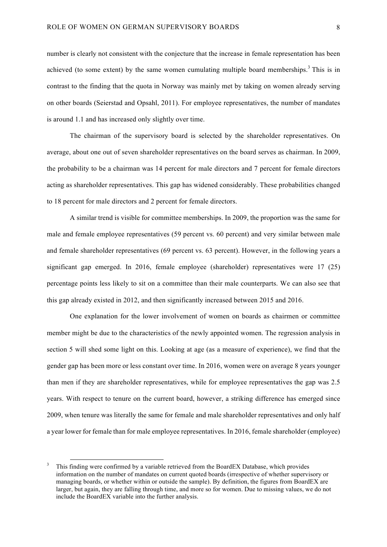number is clearly not consistent with the conjecture that the increase in female representation has been achieved (to some extent) by the same women cumulating multiple board memberships.<sup>3</sup> This is in contrast to the finding that the quota in Norway was mainly met by taking on women already serving on other boards (Seierstad and Opsahl, 2011). For employee representatives, the number of mandates is around 1.1 and has increased only slightly over time.

The chairman of the supervisory board is selected by the shareholder representatives. On average, about one out of seven shareholder representatives on the board serves as chairman. In 2009, the probability to be a chairman was 14 percent for male directors and 7 percent for female directors acting as shareholder representatives. This gap has widened considerably. These probabilities changed to 18 percent for male directors and 2 percent for female directors.

A similar trend is visible for committee memberships. In 2009, the proportion was the same for male and female employee representatives (59 percent vs. 60 percent) and very similar between male and female shareholder representatives (69 percent vs. 63 percent). However, in the following years a significant gap emerged. In 2016, female employee (shareholder) representatives were 17 (25) percentage points less likely to sit on a committee than their male counterparts. We can also see that this gap already existed in 2012, and then significantly increased between 2015 and 2016.

One explanation for the lower involvement of women on boards as chairmen or committee member might be due to the characteristics of the newly appointed women. The regression analysis in section 5 will shed some light on this. Looking at age (as a measure of experience), we find that the gender gap has been more or less constant over time. In 2016, women were on average 8 years younger than men if they are shareholder representatives, while for employee representatives the gap was 2.5 years. With respect to tenure on the current board, however, a striking difference has emerged since 2009, when tenure was literally the same for female and male shareholder representatives and only half a year lower for female than for male employee representatives. In 2016, female shareholder (employee)

 <sup>3</sup> This finding were confirmed by a variable retrieved from the BoardEX Database, which provides information on the number of mandates on current quoted boards (irrespective of whether supervisory or managing boards, or whether within or outside the sample). By definition, the figures from BoardEX are larger, but again, they are falling through time, and more so for women. Due to missing values, we do not include the BoardEX variable into the further analysis.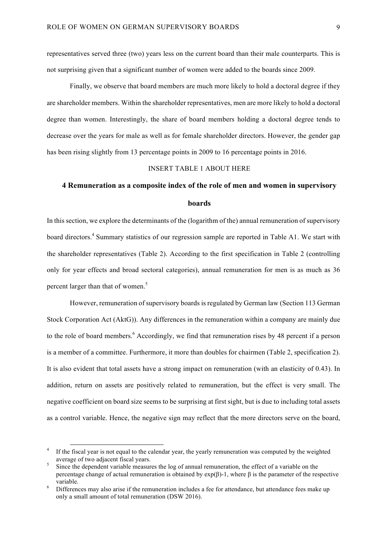representatives served three (two) years less on the current board than their male counterparts. This is not surprising given that a significant number of women were added to the boards since 2009.

Finally, we observe that board members are much more likely to hold a doctoral degree if they are shareholder members. Within the shareholder representatives, men are more likely to hold a doctoral degree than women. Interestingly, the share of board members holding a doctoral degree tends to decrease over the years for male as well as for female shareholder directors. However, the gender gap has been rising slightly from 13 percentage points in 2009 to 16 percentage points in 2016.

#### INSERT TABLE 1 ABOUT HERE

#### **4 Remuneration as a composite index of the role of men and women in supervisory**

#### **boards**

In this section, we explore the determinants of the (logarithm of the) annual remuneration of supervisory board directors. <sup>4</sup> Summary statistics of our regression sample are reported in Table A1. We start with the shareholder representatives (Table 2). According to the first specification in Table 2 (controlling only for year effects and broad sectoral categories), annual remuneration for men is as much as 36 percent larger than that of women.<sup>5</sup>

However, remuneration of supervisory boards is regulated by German law (Section 113 German Stock Corporation Act (AktG)). Any differences in the remuneration within a company are mainly due to the role of board members. <sup>6</sup> Accordingly, we find that remuneration rises by 48 percent if a person is a member of a committee. Furthermore, it more than doubles for chairmen (Table 2, specification 2). It is also evident that total assets have a strong impact on remuneration (with an elasticity of 0.43). In addition, return on assets are positively related to remuneration, but the effect is very small. The negative coefficient on board size seems to be surprising at first sight, but is due to including total assets as a control variable. Hence, the negative sign may reflect that the more directors serve on the board,

If the fiscal year is not equal to the calendar year, the yearly remuneration was computed by the weighted average of two adjacent fiscal years.<br>Since the dependent variable measures the log of annual remuneration, the effect of a variable on the

percentage change of actual remuneration is obtained by exp(β)-1, where β is the parameter of the respective variable.<br>Differences may also arise if the remuneration includes a fee for attendance, but attendance fees make up

only a small amount of total remuneration (DSW 2016).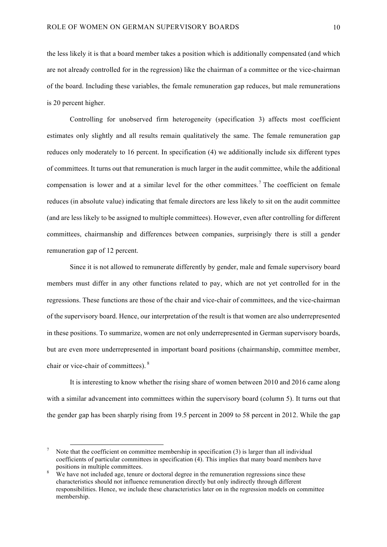the less likely it is that a board member takes a position which is additionally compensated (and which are not already controlled for in the regression) like the chairman of a committee or the vice-chairman of the board. Including these variables, the female remuneration gap reduces, but male remunerations is 20 percent higher.

Controlling for unobserved firm heterogeneity (specification 3) affects most coefficient estimates only slightly and all results remain qualitatively the same. The female remuneration gap reduces only moderately to 16 percent. In specification (4) we additionally include six different types of committees. It turns out that remuneration is much larger in the audit committee, while the additional compensation is lower and at a similar level for the other committees. <sup>7</sup> The coefficient on female reduces (in absolute value) indicating that female directors are less likely to sit on the audit committee (and are less likely to be assigned to multiple committees). However, even after controlling for different committees, chairmanship and differences between companies, surprisingly there is still a gender remuneration gap of 12 percent.

Since it is not allowed to remunerate differently by gender, male and female supervisory board members must differ in any other functions related to pay, which are not yet controlled for in the regressions. These functions are those of the chair and vice-chair of committees, and the vice-chairman of the supervisory board. Hence, our interpretation of the result is that women are also underrepresented in these positions. To summarize, women are not only underrepresented in German supervisory boards, but are even more underrepresented in important board positions (chairmanship, committee member, chair or vice-chair of committees). <sup>8</sup>

It is interesting to know whether the rising share of women between 2010 and 2016 came along with a similar advancement into committees within the supervisory board (column 5). It turns out that the gender gap has been sharply rising from 19.5 percent in 2009 to 58 percent in 2012. While the gap

Note that the coefficient on committee membership in specification (3) is larger than all individual coefficients of particular committees in specification (4). This implies that many board members have positions in multiple committees.

We have not included age, tenure or doctoral degree in the remuneration regressions since these characteristics should not influence remuneration directly but only indirectly through different responsibilities. Hence, we include these characteristics later on in the regression models on committee membership.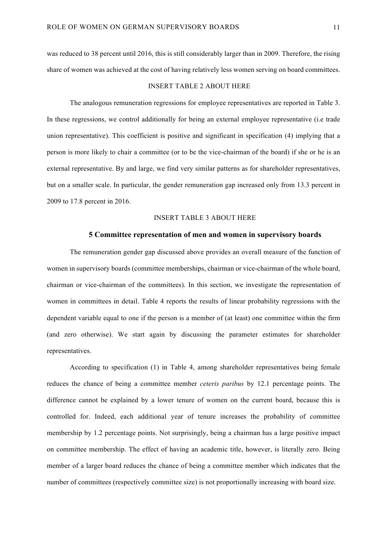was reduced to 38 percent until 2016, this is still considerably larger than in 2009. Therefore, the rising share of women was achieved at the cost of having relatively less women serving on board committees.

#### INSERT TABLE 2 ABOUT HERE

The analogous remuneration regressions for employee representatives are reported in Table 3. In these regressions, we control additionally for being an external employee representative (i.e trade union representative). This coefficient is positive and significant in specification (4) implying that a person is more likely to chair a committee (or to be the vice-chairman of the board) if she or he is an external representative. By and large, we find very similar patterns as for shareholder representatives, but on a smaller scale. In particular, the gender remuneration gap increased only from 13.3 percent in 2009 to 17.8 percent in 2016.

#### INSERT TABLE 3 ABOUT HERE

#### **5 Committee representation of men and women in supervisory boards**

The remuneration gender gap discussed above provides an overall measure of the function of women in supervisory boards (committee memberships, chairman or vice-chairman of the whole board, chairman or vice-chairman of the committees). In this section, we investigate the representation of women in committees in detail. Table 4 reports the results of linear probability regressions with the dependent variable equal to one if the person is a member of (at least) one committee within the firm (and zero otherwise). We start again by discussing the parameter estimates for shareholder representatives.

According to specification (1) in Table 4, among shareholder representatives being female reduces the chance of being a committee member *ceteris paribus* by 12.1 percentage points. The difference cannot be explained by a lower tenure of women on the current board, because this is controlled for. Indeed, each additional year of tenure increases the probability of committee membership by 1.2 percentage points. Not surprisingly, being a chairman has a large positive impact on committee membership. The effect of having an academic title, however, is literally zero. Being member of a larger board reduces the chance of being a committee member which indicates that the number of committees (respectively committee size) is not proportionally increasing with board size.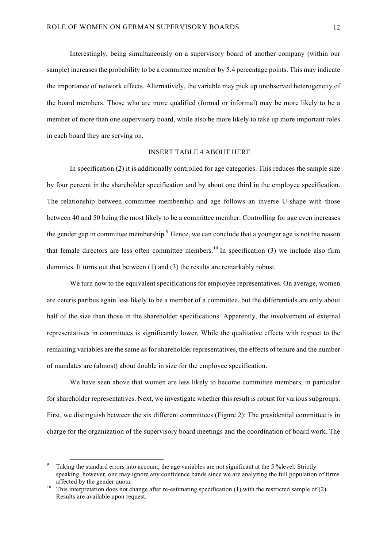Interestingly, being simultaneously on a supervisory board of another company (within our sample) increases the probability to be a committee member by 5.4 percentage points. This may indicate the importance of network effects. Alternatively, the variable may pick up unobserved heterogeneity of the board members. Those who are more qualified (formal or informal) may be more likely to be a member of more than one supervisory board, while also be more likely to take up more important roles in each board they are serving on.

#### INSERT TABLE 4 ABOUT HERE

In specification (2) it is additionally controlled for age categories. This reduces the sample size by four percent in the shareholder specification and by about one third in the employee specification. The relationship between committee membership and age follows an inverse U-shape with those between 40 and 50 being the most likely to be a committee member. Controlling for age even increases the gender gap in committee membership.<sup>9</sup> Hence, we can conclude that a younger age is not the reason that female directors are less often committee members.<sup>10</sup> In specification  $(3)$  we include also firm dummies. It turns out that between (1) and (3) the results are remarkably robust.

We turn now to the equivalent specifications for employee representatives. On average, women are ceteris paribus again less likely to be a member of a committee, but the differentials are only about half of the size than those in the shareholder specifications. Apparently, the involvement of external representatives in committees is significantly lower. While the qualitative effects with respect to the remaining variables are the same as for shareholder representatives, the effects of tenure and the number of mandates are (almost) about double in size for the employee specification.

We have seen above that women are less likely to become committee members, in particular for shareholder representatives. Next, we investigate whether this result is robust for various subgroups. First, we distinguish between the six different committees (Figure 2): The presidential committee is in charge for the organization of the supervisory board meetings and the coordination of board work. The

Taking the standard errors into account, the age variables are not significant at the 5 % level. Strictly speaking, however, one may ignore any confidence bands since we are analyzing the full population of firms affected by the gender quota.<br><sup>10</sup> This interpretation does not change after re-estimating specification (1) with the restricted sample of (2).

Results are available upon request.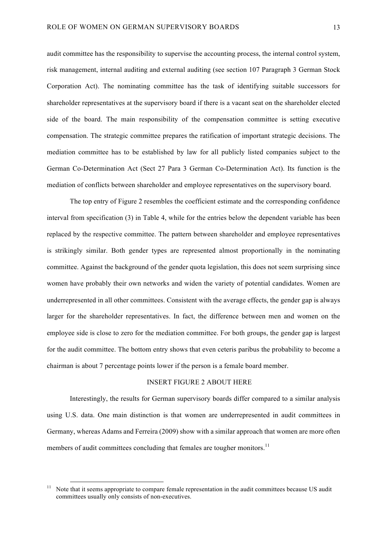audit committee has the responsibility to supervise the accounting process, the internal control system, risk management, internal auditing and external auditing (see section 107 Paragraph 3 German Stock Corporation Act). The nominating committee has the task of identifying suitable successors for shareholder representatives at the supervisory board if there is a vacant seat on the shareholder elected side of the board. The main responsibility of the compensation committee is setting executive compensation. The strategic committee prepares the ratification of important strategic decisions. The mediation committee has to be established by law for all publicly listed companies subject to the German Co-Determination Act (Sect 27 Para 3 German Co-Determination Act). Its function is the mediation of conflicts between shareholder and employee representatives on the supervisory board.

The top entry of Figure 2 resembles the coefficient estimate and the corresponding confidence interval from specification (3) in Table 4, while for the entries below the dependent variable has been replaced by the respective committee. The pattern between shareholder and employee representatives is strikingly similar. Both gender types are represented almost proportionally in the nominating committee. Against the background of the gender quota legislation, this does not seem surprising since women have probably their own networks and widen the variety of potential candidates. Women are underrepresented in all other committees. Consistent with the average effects, the gender gap is always larger for the shareholder representatives. In fact, the difference between men and women on the employee side is close to zero for the mediation committee. For both groups, the gender gap is largest for the audit committee. The bottom entry shows that even ceteris paribus the probability to become a chairman is about 7 percentage points lower if the person is a female board member.

### INSERT FIGURE 2 ABOUT HERE

Interestingly, the results for German supervisory boards differ compared to a similar analysis using U.S. data. One main distinction is that women are underrepresented in audit committees in Germany, whereas Adams and Ferreira (2009) show with a similar approach that women are more often members of audit committees concluding that females are tougher monitors.<sup>11</sup>

<sup>&</sup>lt;sup>11</sup> Note that it seems appropriate to compare female representation in the audit committees because US audit committees usually only consists of non-executives.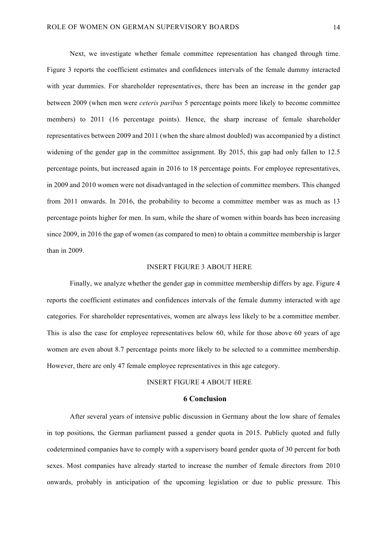Next, we investigate whether female committee representation has changed through time. Figure 3 reports the coefficient estimates and confidences intervals of the female dummy interacted with year dummies. For shareholder representatives, there has been an increase in the gender gap between 2009 (when men were *ceteris paribus* 5 percentage points more likely to become committee members) to 2011 (16 percentage points). Hence, the sharp increase of female shareholder representatives between 2009 and 2011 (when the share almost doubled) was accompanied by a distinct widening of the gender gap in the committee assignment. By 2015, this gap had only fallen to 12.5 percentage points, but increased again in 2016 to 18 percentage points. For employee representatives, in 2009 and 2010 women were not disadvantaged in the selection of committee members. This changed from 2011 onwards. In 2016, the probability to become a committee member was as much as 13 percentage points higher for men. In sum, while the share of women within boards has been increasing since 2009, in 2016 the gap of women (as compared to men) to obtain a committee membership is larger than in 2009.

#### INSERT FIGURE 3 ABOUT HERE

Finally, we analyze whether the gender gap in committee membership differs by age. Figure 4 reports the coefficient estimates and confidences intervals of the female dummy interacted with age categories. For shareholder representatives, women are always less likely to be a committee member. This is also the case for employee representatives below 60, while for those above 60 years of age women are even about 8.7 percentage points more likely to be selected to a committee membership. However, there are only 47 female employee representatives in this age category.

### INSERT FIGURE 4 ABOUT HERE

# **6 Conclusion**

After several years of intensive public discussion in Germany about the low share of females in top positions, the German parliament passed a gender quota in 2015. Publicly quoted and fully codetermined companies have to comply with a supervisory board gender quota of 30 percent for both sexes. Most companies have already started to increase the number of female directors from 2010 onwards, probably in anticipation of the upcoming legislation or due to public pressure. This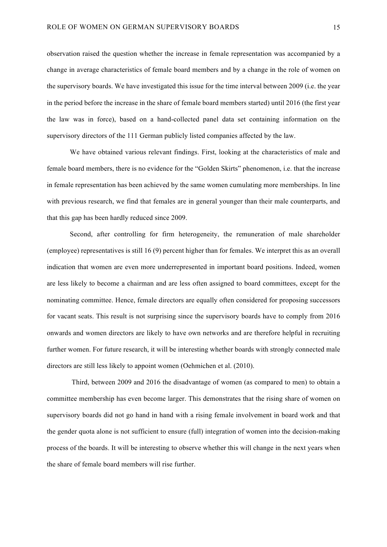observation raised the question whether the increase in female representation was accompanied by a change in average characteristics of female board members and by a change in the role of women on the supervisory boards. We have investigated this issue for the time interval between 2009 (i.e. the year in the period before the increase in the share of female board members started) until 2016 (the first year the law was in force), based on a hand-collected panel data set containing information on the supervisory directors of the 111 German publicly listed companies affected by the law.

We have obtained various relevant findings. First, looking at the characteristics of male and female board members, there is no evidence for the "Golden Skirts" phenomenon, i.e. that the increase in female representation has been achieved by the same women cumulating more memberships. In line with previous research, we find that females are in general younger than their male counterparts, and that this gap has been hardly reduced since 2009.

Second, after controlling for firm heterogeneity, the remuneration of male shareholder (employee) representatives is still 16 (9) percent higher than for females. We interpret this as an overall indication that women are even more underrepresented in important board positions. Indeed, women are less likely to become a chairman and are less often assigned to board committees, except for the nominating committee. Hence, female directors are equally often considered for proposing successors for vacant seats. This result is not surprising since the supervisory boards have to comply from 2016 onwards and women directors are likely to have own networks and are therefore helpful in recruiting further women. For future research, it will be interesting whether boards with strongly connected male directors are still less likely to appoint women (Oehmichen et al. (2010).

Third, between 2009 and 2016 the disadvantage of women (as compared to men) to obtain a committee membership has even become larger. This demonstrates that the rising share of women on supervisory boards did not go hand in hand with a rising female involvement in board work and that the gender quota alone is not sufficient to ensure (full) integration of women into the decision-making process of the boards. It will be interesting to observe whether this will change in the next years when the share of female board members will rise further.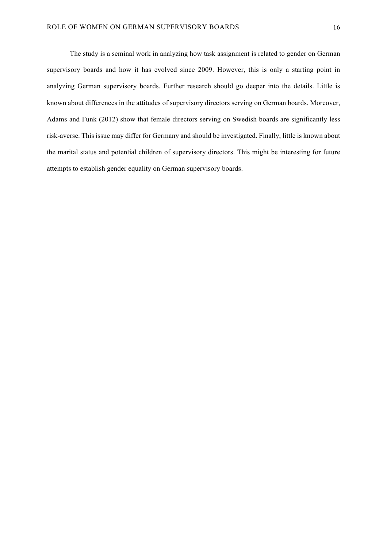The study is a seminal work in analyzing how task assignment is related to gender on German supervisory boards and how it has evolved since 2009. However, this is only a starting point in analyzing German supervisory boards. Further research should go deeper into the details. Little is known about differences in the attitudes of supervisory directors serving on German boards. Moreover, Adams and Funk (2012) show that female directors serving on Swedish boards are significantly less risk-averse. This issue may differ for Germany and should be investigated. Finally, little is known about the marital status and potential children of supervisory directors. This might be interesting for future attempts to establish gender equality on German supervisory boards.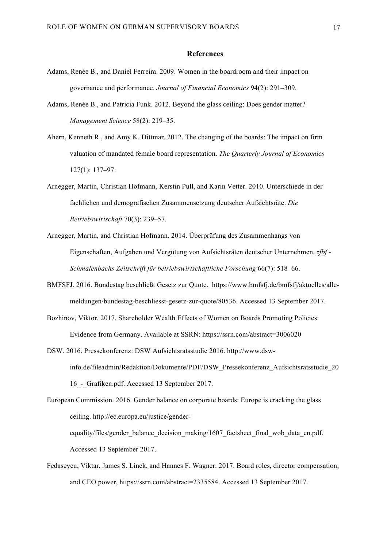#### **References**

- Adams, Renée B., and Daniel Ferreira. 2009. Women in the boardroom and their impact on governance and performance. *Journal of Financial Economics* 94(2): 291–309.
- Adams, Renée B., and Patricia Funk. 2012. Beyond the glass ceiling: Does gender matter? *Management Science* 58(2): 219–35.
- Ahern, Kenneth R., and Amy K. Dittmar. 2012. The changing of the boards: The impact on firm valuation of mandated female board representation. *The Quarterly Journal of Economics* 127(1): 137–97.
- Arnegger, Martin, Christian Hofmann, Kerstin Pull, and Karin Vetter. 2010. Unterschiede in der fachlichen und demografischen Zusammensetzung deutscher Aufsichtsräte. *Die Betriebswirtschaft* 70(3): 239–57.
- Arnegger, Martin, and Christian Hofmann. 2014. Überprüfung des Zusammenhangs von Eigenschaften, Aufgaben und Vergütung von Aufsichtsräten deutscher Unternehmen. *zfbf - Schmalenbachs Zeitschrift für betriebswirtschaftliche Forschung* 66(7): 518–66.
- BMFSFJ. 2016. Bundestag beschließt Gesetz zur Quote. https://www.bmfsfj.de/bmfsfj/aktuelles/allemeldungen/bundestag-beschliesst-gesetz-zur-quote/80536. Accessed 13 September 2017.
- Bozhinov, Viktor. 2017. Shareholder Wealth Effects of Women on Boards Promoting Policies: Evidence from Germany. Available at SSRN: https://ssrn.com/abstract=3006020
- DSW. 2016. Pressekonferenz: DSW Aufsichtsratsstudie 2016. http://www.dswinfo.de/fileadmin/Redaktion/Dokumente/PDF/DSW\_Pressekonferenz\_Aufsichtsratsstudie\_20 16\_-\_Grafiken.pdf. Accessed 13 September 2017.

European Commission. 2016. Gender balance on corporate boards: Europe is cracking the glass ceiling. http://ec.europa.eu/justice/genderequality/files/gender\_balance\_decision\_making/1607\_factsheet\_final\_wob\_data\_en.pdf. Accessed 13 September 2017.

Fedaseyeu, Viktar, James S. Linck, and Hannes F. Wagner. 2017. Board roles, director compensation, and CEO power, https://ssrn.com/abstract=2335584. Accessed 13 September 2017.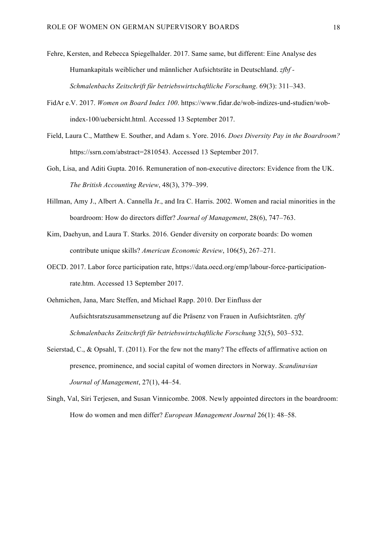- Fehre, Kersten, and Rebecca Spiegelhalder. 2017. Same same, but different: Eine Analyse des Humankapitals weiblicher und männlicher Aufsichtsräte in Deutschland. *zfbf - Schmalenbachs Zeitschrift für betriebswirtschaftliche Forschung*. 69(3): 311–343.
- FidAr e.V. 2017. *Women on Board Index 100*. https://www.fidar.de/wob-indizes-und-studien/wobindex-100/uebersicht.html. Accessed 13 September 2017.
- Field, Laura C., Matthew E. Souther, and Adam s. Yore. 2016. *Does Diversity Pay in the Boardroom?* https://ssrn.com/abstract=2810543. Accessed 13 September 2017.
- Goh, Lisa, and Aditi Gupta. 2016. Remuneration of non-executive directors: Evidence from the UK. *The British Accounting Review*, 48(3), 379–399.
- Hillman, Amy J., Albert A. Cannella Jr., and Ira C. Harris. 2002. Women and racial minorities in the boardroom: How do directors differ? *Journal of Management*, 28(6), 747–763.
- Kim, Daehyun, and Laura T. Starks. 2016. Gender diversity on corporate boards: Do women contribute unique skills? *American Economic Review*, 106(5), 267–271.
- OECD. 2017. Labor force participation rate, https://data.oecd.org/emp/labour-force-participationrate.htm. Accessed 13 September 2017.
- Oehmichen, Jana, Marc Steffen, and Michael Rapp. 2010. Der Einfluss der Aufsichtsratszusammensetzung auf die Präsenz von Frauen in Aufsichtsräten. *zfbf Schmalenbachs Zeitschrift für betriebswirtschaftliche Forschung* 32(5), 503–532.
- Seierstad, C., & Opsahl, T. (2011). For the few not the many? The effects of affirmative action on presence, prominence, and social capital of women directors in Norway. *Scandinavian Journal of Management*, 27(1), 44–54.
- Singh, Val, Siri Terjesen, and Susan Vinnicombe. 2008. Newly appointed directors in the boardroom: How do women and men differ? *European Management Journal* 26(1): 48–58.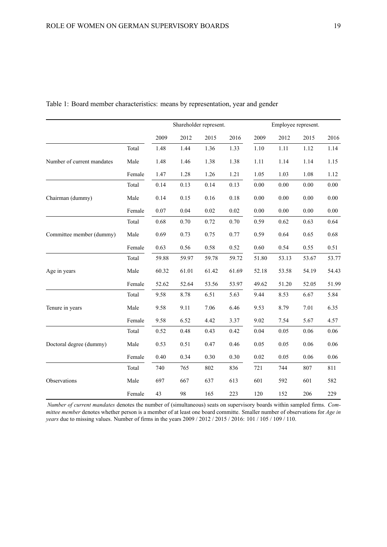|                            |        | Shareholder represent. |       |       | Employee represent. |       |       |       |       |
|----------------------------|--------|------------------------|-------|-------|---------------------|-------|-------|-------|-------|
|                            |        | 2009                   | 2012  | 2015  | 2016                | 2009  | 2012  | 2015  | 2016  |
|                            | Total  | 1.48                   | 1.44  | 1.36  | 1.33                | 1.10  | 1.11  | 1.12  | 1.14  |
| Number of current mandates | Male   | 1.48                   | 1.46  | 1.38  | 1.38                | 1.11  | 1.14  | 1.14  | 1.15  |
|                            | Female | 1.47                   | 1.28  | 1.26  | 1.21                | 1.05  | 1.03  | 1.08  | 1.12  |
|                            | Total  | 0.14                   | 0.13  | 0.14  | 0.13                | 0.00  | 0.00  | 0.00  | 0.00  |
| Chairman (dummy)           | Male   | 0.14                   | 0.15  | 0.16  | 0.18                | 0.00  | 0.00  | 0.00  | 0.00  |
|                            | Female | 0.07                   | 0.04  | 0.02  | 0.02                | 0.00  | 0.00  | 0.00  | 0.00  |
| Committee member (dummy)   | Total  | 0.68                   | 0.70  | 0.72  | 0.70                | 0.59  | 0.62  | 0.63  | 0.64  |
|                            | Male   | 0.69                   | 0.73  | 0.75  | 0.77                | 0.59  | 0.64  | 0.65  | 0.68  |
|                            | Female | 0.63                   | 0.56  | 0.58  | 0.52                | 0.60  | 0.54  | 0.55  | 0.51  |
| Age in years               | Total  | 59.88                  | 59.97 | 59.78 | 59.72               | 51.80 | 53.13 | 53.67 | 53.77 |
|                            | Male   | 60.32                  | 61.01 | 61.42 | 61.69               | 52.18 | 53.58 | 54.19 | 54.43 |
|                            | Female | 52.62                  | 52.64 | 53.56 | 53.97               | 49.62 | 51.20 | 52.05 | 51.99 |
| Tenure in years            | Total  | 9.58                   | 8.78  | 6.51  | 5.63                | 9.44  | 8.53  | 6.67  | 5.84  |
|                            | Male   | 9.58                   | 9.11  | 7.06  | 6.46                | 9.53  | 8.79  | 7.01  | 6.35  |
|                            | Female | 9.58                   | 6.52  | 4.42  | 3.37                | 9.02  | 7.54  | 5.67  | 4.57  |
| Doctoral degree (dummy)    | Total  | 0.52                   | 0.48  | 0.43  | 0.42                | 0.04  | 0.05  | 0.06  | 0.06  |
|                            | Male   | 0.53                   | 0.51  | 0.47  | 0.46                | 0.05  | 0.05  | 0.06  | 0.06  |
|                            | Female | 0.40                   | 0.34  | 0.30  | 0.30                | 0.02  | 0.05  | 0.06  | 0.06  |
|                            | Total  | 740                    | 765   | 802   | 836                 | 721   | 744   | 807   | 811   |
| Observations               | Male   | 697                    | 667   | 637   | 613                 | 601   | 592   | 601   | 582   |
|                            | Female | 43                     | 98    | 165   | 223                 | 120   | 152   | 206   | 229   |

Table 1: Board member characteristics: means by representation, year and gender

*Number of current mandates* denotes the number of (simultaneous) seats on supervisory boards within sampled firms. *Committee member* denotes whether person is a member of at least one board committe. Smaller number of observations for *Age in years* due to missing values. Number of firms in the years 2009 / 2012 / 2015 / 2016: 101 / 105 / 109 / 110.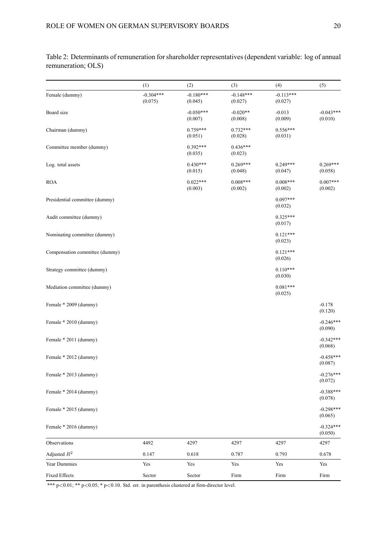(1)  $(2)$   $(3)$   $(4)$   $(5)$ Female (dummy)  $-0.304***$   $-0.180***$   $-0.148***$   $-0.148***$   $-0.113***$  $(0.075)$   $(0.045)$   $(0.027)$   $(0.027)$ Board size  $-0.050**$   $-0.020**$   $-0.013$   $-0.043***$  $(0.007)$   $(0.008)$   $(0.009)$   $(0.010)$ Chairman (dummy) 0.759\*\*\* 0.732\*\*\* 0.556\*\*\* 0.556 0.556 0.556 0.556 0.556 0.556 0.556 0.556 0.556 0.556 0.556 0.556 0.556 0.556 0.556 0.556 0.556 0.556 0.556 0.556 0.556 0.556 0.556 0.556 0.556 0.556 0.556 0.556 0.556 0.55  $(0.051)$   $(0.028)$   $(0.031)$ Committee member (dummy)  $0.392***$   $0.436***$   $0.436***$   $(0.033)$   $(0.023)$  $(0.035)$ Log. total assets 6.269\*\*\* **0.269\*\*\*** 0.249\*\*\* **0.269\*\*\*** 0.269\*\*\* **0.269\*\*\*** 0.269\*\*\*  $(0.015)$   $(0.048)$   $(0.047)$   $(0.058)$ ROA 0.022\*\*\* 0.008\*\*\* 0.008\*\*\* 0.007\*\*\*  $(0.003)$   $(0.002)$   $(0.002)$   $(0.002)$ Presidential committee (dummy) 0.097\*\*\* (0.032) Audit committee (dummy) 0.325\*\*\* 0.325 0.325 0.325 0.325 1.1 \ 0.325 0.325 1.1 \ 0.325 1.1 \ 0.325 1.1 \ 0.325 1.1 \ 0.325 1.1 \ 0.325 1.1 \ 0.325 1.1 \ 0.325 1.1 \ 0.325 1.1 \ 0.325 1.1 \ 0.325 1.1 \ 0.325 1.1 \ 0.325 1.1 (0.017) Nominating committee (dummy) 0.121\*\*\* (0.023) Compensation committee (dummy) 0.121\*\*\* (0.026) Strategy committee (dummy) 0.110<sup>\*\*\*</sup> 0.110<sup>\*\*\*</sup> (0.030) Mediation committee (dummy) 0.081\*\*\* (0.025) Female  $*$  2009 (dummy)  $-0.178$ (0.120) Female \* 2010 (dummy) -0.246\*\*\* (0.090) Female  $* 2011$  (dummy)  $-0.342***$ (0.068) Female  $* 2012$  (dummy)  $-0.458***$ (0.087) Female  $*$  2013 (dummy)  $-0.276***$ (0.072) Female \* 2014 (dummy) -0.388\*\*\* (0.078) Female \* 2015 (dummy) -0.298\*\*\*  $(0.065)$ Female  $*$  2016 (dummy)  $-0.324***$ (0.050) Observations 4492 4297 4297 4297 4297 Adjusted  $R^2$  0.147 0.618 0.787 0.793 0.678 Year Dummies Yes Yes Yes Yes Yes Fixed Effects **Sector** Sector Sector **Firm** Firm Firm Firm

Table 2: Determinants of remuneration for shareholder representatives (dependent variable: log of annual remuneration; OLS)

\*\*\*  $p < 0.01$ ; \*\*  $p < 0.05$ ; \*  $p < 0.10$ . Std. err. in parenthesis clustered at firm-director level.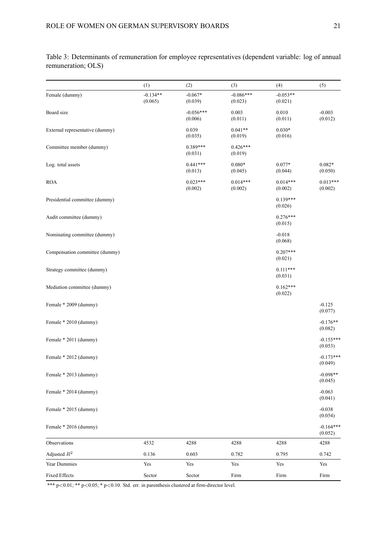(1)  $(2)$   $(3)$   $(4)$   $(5)$ Female (dummy)  $-0.134**$   $-0.067*$   $-0.086**$   $-0.053**$  $(0.065)$   $(0.039)$   $(0.023)$   $(0.021)$ Board size -0.056\*\*\* 0.003 0.010 -0.003  $(0.006)$   $(0.011)$   $(0.011)$   $(0.012)$ External representative (dummy)  $0.039$   $0.041**$  0.030\*  $(0.035)$   $(0.019)$   $(0.016)$ Committee member (dummy)  $0.389***$   $0.426***$   $0.426***$   $(0.019)$  $(0.031)$ Log. total assets 0.082\* 0.080\* 0.080\* 0.082\* 0.082\*  $(0.013)$   $(0.045)$   $(0.044)$   $(0.050)$ ROA 0.023\*\*\* 0.014\*\*\* 0.014\*\*\* 0.013\*\*\*  $(0.002)$   $(0.002)$   $(0.002)$   $(0.002)$ Presidential committee (dummy) 0.139\*\*\* (0.026) Audit committee (dummy) 0.276\*\*\* (0.015) Nominating committee (dummy)  $-0.018$ (0.068) Compensation committee (dummy) 0.207\*\*\* (0.021) Strategy committee (dummy) 0.111\*\*\* (0.031) Mediation committee (dummy) 0.162\*\*\* (0.022) Female  $*$  2009 (dummy)  $-0.125$ (0.077) Female \* 2010 (dummy) -0.176\*\* (0.082) Female  $* 2011$  (dummy)  $-0.155***$ (0.053) Female  $* 2012$  (dummy)  $-0.173***$ (0.049) Female  $*$  2013 (dummy)  $-0.098**$  $(0.045)$ Female \* 2014 (dummy)  $-0.063$ (0.041) Female  $*$  2015 (dummy)  $-0.038$  $(0.054)$ Female  $*$  2016 (dummy)  $-0.164***$ (0.052) Observations 4532 4288 4288 4288 4288 Adjusted  $R^2$  0.136 0.603 0.782 0.795 0.742 Year Dummies Yes Yes Yes Yes Yes Fixed Effects **Sector** Sector Sector **Firm** Firm Firm Firm

Table 3: Determinants of remuneration for employee representatives (dependent variable: log of annual remuneration; OLS)

\*\*\*  $p < 0.01$ ; \*\*  $p < 0.05$ ; \*  $p < 0.10$ . Std. err. in parenthesis clustered at firm-director level.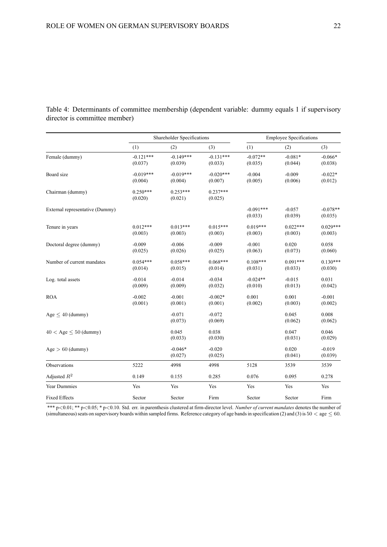|                                 | Shareholder Specifications |                        |                        | <b>Employee Specifications</b> |                       |                       |
|---------------------------------|----------------------------|------------------------|------------------------|--------------------------------|-----------------------|-----------------------|
|                                 | (1)                        | (2)                    | (3)                    | (1)                            | (2)                   | (3)                   |
| Female (dummy)                  | $-0.121***$<br>(0.037)     | $-0.149***$<br>(0.039) | $-0.131***$<br>(0.033) | $-0.072**$<br>(0.035)          | $-0.081*$<br>(0.044)  | $-0.066*$<br>(0.038)  |
| Board size                      | $-0.019***$<br>(0.004)     | $-0.019***$<br>(0.004) | $-0.020***$<br>(0.007) | $-0.004$<br>(0.005)            | $-0.009$<br>(0.006)   | $-0.022*$<br>(0.012)  |
| Chairman (dummy)                | $0.250***$<br>(0.020)      | $0.253***$<br>(0.021)  | $0.237***$<br>(0.025)  |                                |                       |                       |
| External representative (Dummy) |                            |                        |                        | $-0.091***$<br>(0.033)         | $-0.057$<br>(0.039)   | $-0.078**$<br>(0.035) |
| Tenure in years                 | $0.012***$<br>(0.003)      | $0.013***$<br>(0.003)  | $0.015***$<br>(0.003)  | $0.019***$<br>(0.003)          | $0.022***$<br>(0.003) | $0.029***$<br>(0.003) |
| Doctoral degree (dummy)         | $-0.009$<br>(0.025)        | $-0.006$<br>(0.026)    | $-0.009$<br>(0.025)    | $-0.001$<br>(0.063)            | 0.020<br>(0.073)      | 0.058<br>(0.060)      |
| Number of current mandates      | $0.054***$<br>(0.014)      | $0.058***$<br>(0.015)  | $0.068***$<br>(0.014)  | $0.108***$<br>(0.031)          | $0.091***$<br>(0.033) | $0.130***$<br>(0.030) |
| Log. total assets               | $-0.014$<br>(0.009)        | $-0.014$<br>(0.009)    | $-0.034$<br>(0.032)    | $-0.024**$<br>(0.010)          | $-0.015$<br>(0.013)   | 0.031<br>(0.042)      |
| <b>ROA</b>                      | $-0.002$<br>(0.001)        | $-0.001$<br>(0.001)    | $-0.002*$<br>(0.001)   | 0.001<br>(0.002)               | 0.001<br>(0.003)      | $-0.001$<br>(0.002)   |
| $Age < 40$ (dummy)              |                            | $-0.071$<br>(0.073)    | $-0.072$<br>(0.069)    |                                | 0.045<br>(0.062)      | 0.008<br>(0.062)      |
| $40 <$ Age $< 50$ (dummy)       |                            | 0.045<br>(0.033)       | 0.038<br>(0.030)       |                                | 0.047<br>(0.031)      | 0.046<br>(0.029)      |
| $Age > 60$ (dummy)              |                            | $-0.046*$<br>(0.027)   | $-0.020$<br>(0.025)    |                                | 0.020<br>(0.041)      | $-0.019$<br>(0.039)   |
| Observations                    | 5222                       | 4998                   | 4998                   | 5128                           | 3539                  | 3539                  |
| Adjusted $R^2$                  | 0.149                      | 0.155                  | 0.285                  | 0.076                          | 0.095                 | 0.278                 |
| Year Dummies                    | Yes                        | Yes                    | Yes                    | Yes                            | Yes                   | Yes                   |
| <b>Fixed Effects</b>            | Sector                     | Sector                 | Firm                   | Sector                         | Sector                | Firm                  |

Table 4: Determinants of committee membership (dependent variable: dummy equals 1 if supervisory director is committee member)

\*\*\* p<0.01; \*\* p<0.05; \* p<0.10. Std. err. in parenthesis clustered at firm-director level. *Number of current mandates* denotes the number of (simultaneous) seats on supervisory boards within sampled firms. Reference category of age bands in specification (2) and (3) is  $50 <$  age  $\leq 60$ .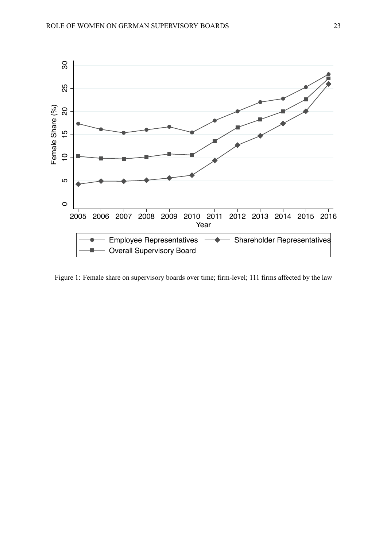

Figure 1: Female share on supervisory boards over time; firm-level; 111 firms affected by the law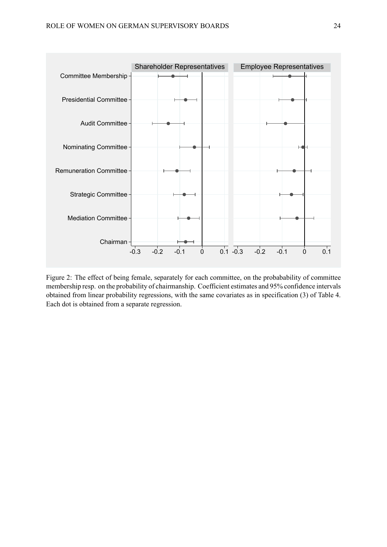

Figure 2: The effect of being female, separately for each committee, on the probabability of committee membership resp. on the probability of chairmanship. Coefficient estimates and 95% confidence intervals obtained from linear probability regressions, with the same covariates as in specification (3) of Table 4. Each dot is obtained from a separate regression.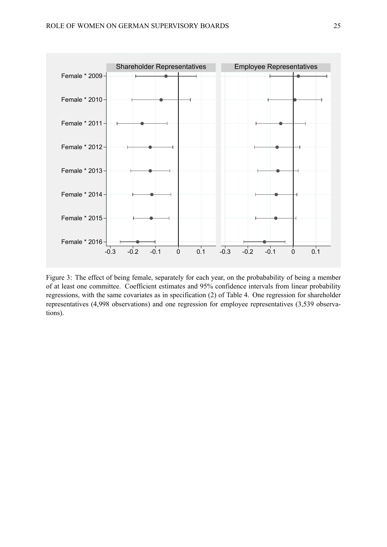

Figure 3: The effect of being female, separately for each year, on the probabability of being a member of at least one committee. Coefficient estimates and 95% confidence intervals from linear probability regressions, with the same covariates as in specification (2) of Table 4. One regression for shareholder representatives (4,998 observations) and one regression for employee representatives (3,539 observations).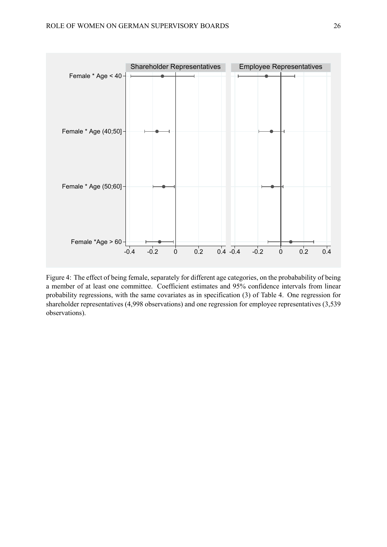

Figure 4: The effect of being female, separately for different age categories, on the probabability of being a member of at least one committee. Coefficient estimates and 95% confidence intervals from linear probability regressions, with the same covariates as in specification (3) of Table 4. One regression for shareholder representatives (4,998 observations) and one regression for employee representatives (3,539 observations).